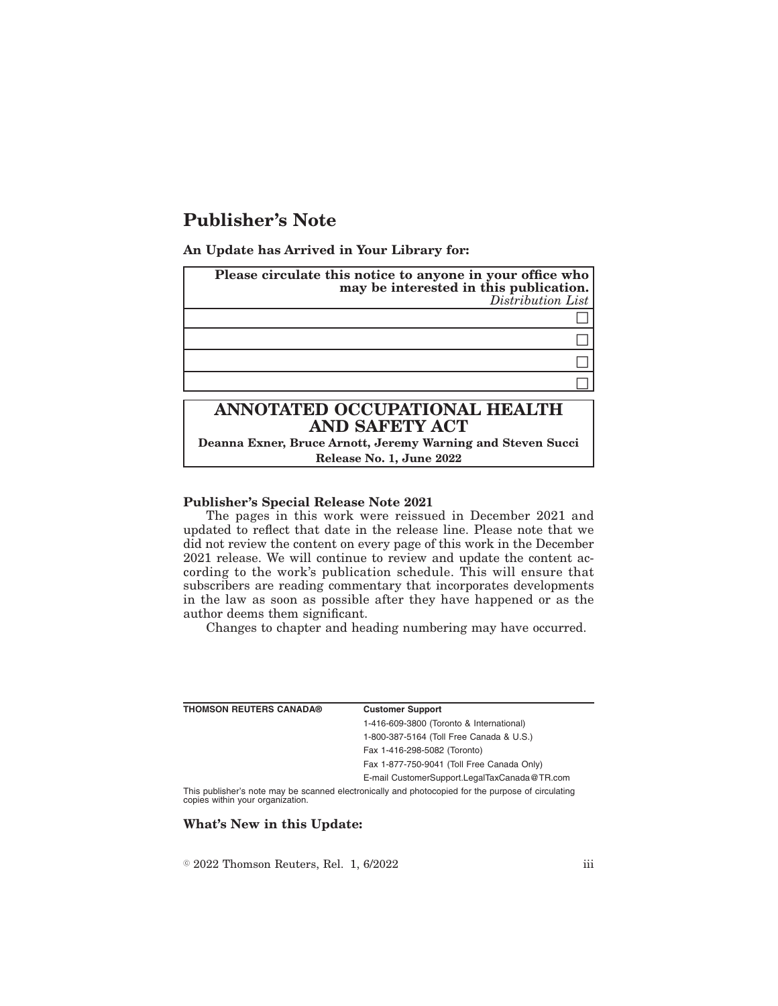## **Publisher's Note**

**An Update has Arrived in Your Library for:**

| Please circulate this notice to anyone in your office who<br>may be interested in this publication.<br>Distribution List |  |
|--------------------------------------------------------------------------------------------------------------------------|--|
|                                                                                                                          |  |
|                                                                                                                          |  |
|                                                                                                                          |  |
|                                                                                                                          |  |
| ANNOTATED OCCUPATIONAL HEALTH<br><b>AND SAFETY ACT</b>                                                                   |  |

**Deanna Exner, Bruce Arnott, Jeremy Warning and Steven Succi Release No. 1, June 2022**

## **Publisher's Special Release Note 2021**

The pages in this work were reissued in December 2021 and updated to reflect that date in the release line. Please note that we did not review the content on every page of this work in the December 2021 release. We will continue to review and update the content according to the work's publication schedule. This will ensure that subscribers are reading commentary that incorporates developments in the law as soon as possible after they have happened or as the author deems them significant.

Changes to chapter and heading numbering may have occurred.

| <b>THOMSON REUTERS CANADA®</b> | <b>Customer Support</b>                                                                            |
|--------------------------------|----------------------------------------------------------------------------------------------------|
|                                | 1-416-609-3800 (Toronto & International)                                                           |
|                                | 1-800-387-5164 (Toll Free Canada & U.S.)                                                           |
|                                | Fax 1-416-298-5082 (Toronto)                                                                       |
|                                | Fax 1-877-750-9041 (Toll Free Canada Only)                                                         |
|                                | E-mail CustomerSupport.LegalTaxCanada@TR.com                                                       |
|                                | This publisher's note may be scanned electronically and photocopied for the purpose of circulating |

This publisher's note may be scanned electronically and photocopied for the purpose of circulating copies within your organization.

## **What's New in this Update:**

 $\textdegree$  2022 Thomson Reuters, Rel. 1, 6/2022 iii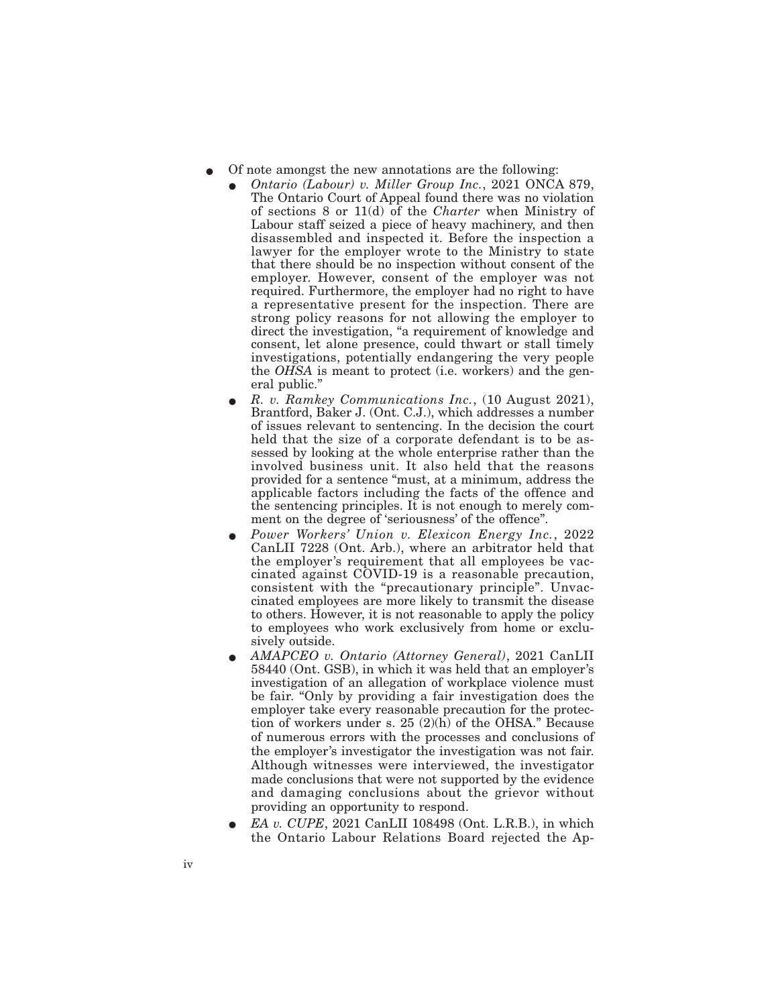- E Of note amongst the new annotations are the following:
	- E *Ontario (Labour) v. Miller Group Inc.*, 2021 ONCA 879, The Ontario Court of Appeal found there was no violation of sections 8 or 11(d) of the *Charter* when Ministry of Labour staff seized a piece of heavy machinery, and then disassembled and inspected it. Before the inspection a lawyer for the employer wrote to the Ministry to state that there should be no inspection without consent of the employer. However, consent of the employer was not required. Furthermore, the employer had no right to have a representative present for the inspection. There are strong policy reasons for not allowing the employer to direct the investigation, "a requirement of knowledge and consent, let alone presence, could thwart or stall timely investigations, potentially endangering the very people the *OHSA* is meant to protect (i.e. workers) and the general public."
	- E *R. v. Ramkey Communications Inc.*, (10 August 2021), Brantford, Baker J. (Ont. C.J.), which addresses a number of issues relevant to sentencing. In the decision the court held that the size of a corporate defendant is to be assessed by looking at the whole enterprise rather than the involved business unit. It also held that the reasons provided for a sentence "must, at a minimum, address the applicable factors including the facts of the offence and the sentencing principles. It is not enough to merely comment on the degree of 'seriousness' of the offence".
	- E *Power Workers' Union v. Elexicon Energy Inc.*, 2022 CanLII 7228 (Ont. Arb.), where an arbitrator held that the employer's requirement that all employees be vaccinated against COVID-19 is a reasonable precaution, consistent with the "precautionary principle". Unvaccinated employees are more likely to transmit the disease to others. However, it is not reasonable to apply the policy to employees who work exclusively from home or exclusively outside.
	- E *AMAPCEO v. Ontario (Attorney General)*, 2021 CanLII 58440 (Ont. GSB), in which it was held that an employer's investigation of an allegation of workplace violence must be fair. "Only by providing a fair investigation does the employer take every reasonable precaution for the protection of workers under s. 25 (2)(h) of the OHSA." Because of numerous errors with the processes and conclusions of the employer's investigator the investigation was not fair. Although witnesses were interviewed, the investigator made conclusions that were not supported by the evidence and damaging conclusions about the grievor without providing an opportunity to respond.
	- EA v. CUPE, 2021 CanLII 108498 (Ont. L.R.B.), in which the Ontario Labour Relations Board rejected the Ap-